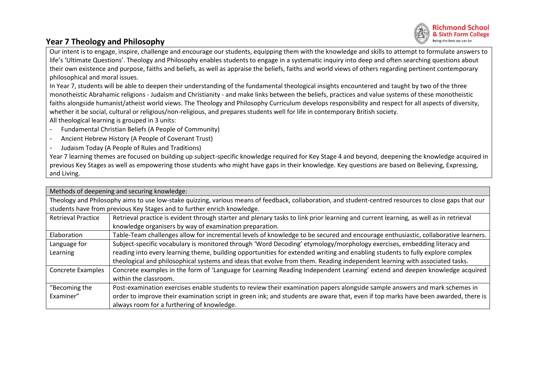

## **Year 7 Theology and Philosophy**

Our intent is to engage, inspire, challenge and encourage our students, equipping them with the knowledge and skills to attempt to formulate answers to life's 'Ultimate Questions'. Theology and Philosophy enables students to engage in a systematic inquiry into deep and often searching questions about their own existence and purpose, faiths and beliefs, as well as appraise the beliefs, faiths and world views of others regarding pertinent contemporary philosophical and moral issues.

In Year 7, students will be able to deepen their understanding of the fundamental theological insights encountered and taught by two of the three monotheistic Abrahamic religions - Judaism and Christianity - and make links between the beliefs, practices and value systems of these monotheistic faiths alongside humanist/atheist world views. The Theology and Philosophy Curriculum develops responsibility and respect for all aspects of diversity, whether it be social, cultural or religious/non-religious, and prepares students well for life in contemporary British society. All theological learning is grouped in 3 units:

- Fundamental Christian Beliefs (A People of Community)
- Ancient Hebrew History (A People of Covenant Trust)
- Judaism Today (A People of Rules and Traditions)

Year 7 learning themes are focused on building up subject-specific knowledge required for Key Stage 4 and beyond, deepening the knowledge acquired in previous Key Stages as well as empowering those students who might have gaps in their knowledge. Key questions are based on Believing, Expressing, and Living.

| Methods of deepening and securing knowledge:                                                                                                           |                                                                                                                                      |  |  |  |  |  |
|--------------------------------------------------------------------------------------------------------------------------------------------------------|--------------------------------------------------------------------------------------------------------------------------------------|--|--|--|--|--|
| Theology and Philosophy aims to use low-stake quizzing, various means of feedback, collaboration, and student-centred resources to close gaps that our |                                                                                                                                      |  |  |  |  |  |
| students have from previous Key Stages and to further enrich knowledge.                                                                                |                                                                                                                                      |  |  |  |  |  |
| <b>Retrieval Practice</b>                                                                                                                              | Retrieval practice is evident through starter and plenary tasks to link prior learning and current learning, as well as in retrieval |  |  |  |  |  |
|                                                                                                                                                        | knowledge organisers by way of examination preparation.                                                                              |  |  |  |  |  |
| Elaboration                                                                                                                                            | Table-Team challenges allow for incremental levels of knowledge to be secured and encourage enthusiastic, collaborative learners.    |  |  |  |  |  |
| Language for                                                                                                                                           | Subject-specific vocabulary is monitored through 'Word Decoding' etymology/morphology exercises, embedding literacy and              |  |  |  |  |  |
| Learning                                                                                                                                               | reading into every learning theme, building opportunities for extended writing and enabling students to fully explore complex        |  |  |  |  |  |
|                                                                                                                                                        | theological and philosophical systems and ideas that evolve from them. Reading independent learning with associated tasks.           |  |  |  |  |  |
| <b>Concrete Examples</b>                                                                                                                               | Concrete examples in the form of 'Language for Learning Reading Independent Learning' extend and deepen knowledge acquired           |  |  |  |  |  |
|                                                                                                                                                        | within the classroom.                                                                                                                |  |  |  |  |  |
| "Becoming the                                                                                                                                          | Post-examination exercises enable students to review their examination papers alongside sample answers and mark schemes in           |  |  |  |  |  |
| Examiner"                                                                                                                                              | order to improve their examination script in green ink; and students are aware that, even if top marks have been awarded, there is   |  |  |  |  |  |
|                                                                                                                                                        | always room for a furthering of knowledge.                                                                                           |  |  |  |  |  |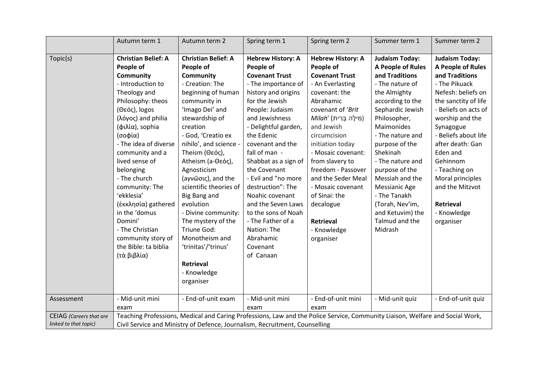|                         | Autumn term 1                                                                                                                                                                                                                                                                                                                                                                                                                                                               | Autumn term 2                                                                                                                                                                                                                                                                                                                                                                                                                                                                                                         | Spring term 1                                                                                                                                                                                                                                                                                                                                                                                                                                                                                   | Spring term 2                                                                                                                                                                                                                                                                                                                                                                                                             | Summer term 1                                                                                                                                                                                                                                                                                                                                                                                            | Summer term 2                                                                                                                                                                                                                                                                                                                                                                         |  |
|-------------------------|-----------------------------------------------------------------------------------------------------------------------------------------------------------------------------------------------------------------------------------------------------------------------------------------------------------------------------------------------------------------------------------------------------------------------------------------------------------------------------|-----------------------------------------------------------------------------------------------------------------------------------------------------------------------------------------------------------------------------------------------------------------------------------------------------------------------------------------------------------------------------------------------------------------------------------------------------------------------------------------------------------------------|-------------------------------------------------------------------------------------------------------------------------------------------------------------------------------------------------------------------------------------------------------------------------------------------------------------------------------------------------------------------------------------------------------------------------------------------------------------------------------------------------|---------------------------------------------------------------------------------------------------------------------------------------------------------------------------------------------------------------------------------------------------------------------------------------------------------------------------------------------------------------------------------------------------------------------------|----------------------------------------------------------------------------------------------------------------------------------------------------------------------------------------------------------------------------------------------------------------------------------------------------------------------------------------------------------------------------------------------------------|---------------------------------------------------------------------------------------------------------------------------------------------------------------------------------------------------------------------------------------------------------------------------------------------------------------------------------------------------------------------------------------|--|
| Topic(s)<br>Assessment  | <b>Christian Belief: A</b><br>People of<br><b>Community</b><br>- Introduction to<br>Theology and<br>Philosophy: theos<br>(Θεός), logos<br>(λόγος) and philia<br>(φιλία), sophia<br>(σοφία)<br>- The idea of diverse<br>community and a<br>lived sense of<br>belonging<br>- The church<br>community: The<br>'ekklesia'<br>(έκκλησία) gathered<br>in the 'domus<br>Domini'<br>- The Christian<br>community story of<br>the Bible: ta biblia<br>(τὰ βιβλία)<br>- Mid-unit mini | <b>Christian Belief: A</b><br>People of<br>Community<br>- Creation: The<br>beginning of human<br>community in<br>'Imago Dei' and<br>stewardship of<br>creation<br>- God, 'Creatio ex<br>nihilo', and science -<br>Theism (Θεός),<br>Atheism (a-Θεός),<br>Agnosticism<br>(aγνῶσις), and the<br>scientific theories of<br>Big Bang and<br>evolution<br>- Divine community:<br>The mystery of the<br>Triune God:<br>Monotheism and<br>'trinitas'/'trinus'<br>Retrieval<br>- Knowledge<br>organiser<br>- End-of-unit exam | <b>Hebrew History: A</b><br>People of<br><b>Covenant Trust</b><br>- The importance of<br>history and origins<br>for the Jewish<br>People: Judaism<br>and Jewishness<br>- Delightful garden,<br>the Edenic<br>covenant and the<br>fall of man -<br>Shabbat as a sign of<br>the Covenant<br>- Evil and "no more<br>destruction": The<br>Noahic covenant<br>and the Seven Laws<br>to the sons of Noah<br>- The Father of a<br>Nation: The<br>Abrahamic<br>Covenant<br>of Canaan<br>- Mid-unit mini | <b>Hebrew History: A</b><br>People of<br><b>Covenant Trust</b><br>- An Everlasting<br>covenant: the<br>Abrahamic<br>covenant of 'Brit<br>(מִילָה בְּרִית)<br>and Jewish<br>circumcision<br>initiation today<br>- Mosaic covenant:<br>from slavery to<br>freedom - Passover<br>and the Seder Meal<br>- Mosaic covenant<br>of Sinai: the<br>decalogue<br><b>Retrieval</b><br>- Knowledge<br>organiser<br>- End-of-unit mini | <b>Judaism Today:</b><br>A People of Rules<br>and Traditions<br>- The nature of<br>the Almighty<br>according to the<br>Sephardic Jewish<br>Philosopher,<br>Maimonides<br>- The nature and<br>purpose of the<br>Shekinah<br>- The nature and<br>purpose of the<br>Messiah and the<br>Messianic Age<br>- The Tanakh<br>(Torah, Nev'im,<br>and Ketuvim) the<br>Talmud and the<br>Midrash<br>- Mid-unit quiz | <b>Judaism Today:</b><br>A People of Rules<br>and Traditions<br>- The Pikuack<br>Nefesh: beliefs on<br>the sanctity of life<br>- Beliefs on acts of<br>worship and the<br>Synagogue<br>- Beliefs about life<br>after death: Gan<br>Eden and<br>Gehinnom<br>- Teaching on<br>Moral principles<br>and the Mitzvot<br><b>Retrieval</b><br>- Knowledge<br>organiser<br>- End-of-unit quiz |  |
| CEIAG (Careers that are | exam                                                                                                                                                                                                                                                                                                                                                                                                                                                                        |                                                                                                                                                                                                                                                                                                                                                                                                                                                                                                                       | exam                                                                                                                                                                                                                                                                                                                                                                                                                                                                                            | exam                                                                                                                                                                                                                                                                                                                                                                                                                      |                                                                                                                                                                                                                                                                                                                                                                                                          |                                                                                                                                                                                                                                                                                                                                                                                       |  |
| linked to that topic)   | Teaching Professions, Medical and Caring Professions, Law and the Police Service, Community Liaison, Welfare and Social Work,<br>Civil Service and Ministry of Defence, Journalism, Recruitment, Counselling                                                                                                                                                                                                                                                                |                                                                                                                                                                                                                                                                                                                                                                                                                                                                                                                       |                                                                                                                                                                                                                                                                                                                                                                                                                                                                                                 |                                                                                                                                                                                                                                                                                                                                                                                                                           |                                                                                                                                                                                                                                                                                                                                                                                                          |                                                                                                                                                                                                                                                                                                                                                                                       |  |